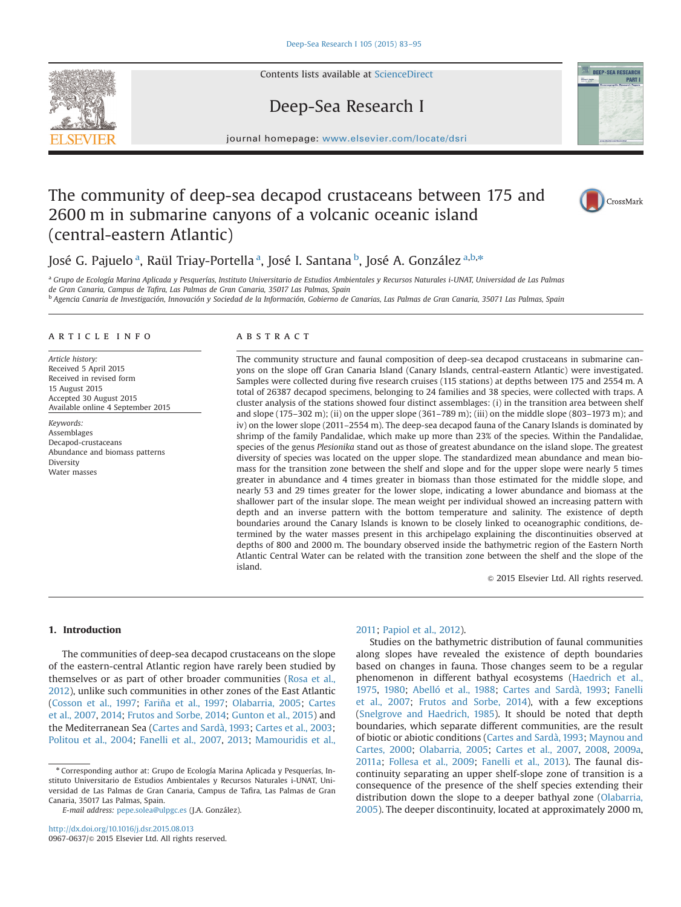Contents lists available at ScienceDirect

## Deep-Sea Research I

journal homepage: <www.elsevier.com/locate/dsri>

# The community of deep-sea decapod crustaceans between 175 and 2600 m in submarine canyons of a volcanic oceanic island (central-eastern Atlantic)



<sup>a</sup> Grupo de Ecología Marina Aplicada y Pesquerías, Instituto Universitario de Estudios Ambientales y Recursos Naturales i-UNAT, Universidad de Las Palmas de Gran Canaria, Campus de Tafira, Las Palmas de Gran Canaria, 35017 Las Palmas, Spain

<sup>b</sup> Agencia Canaria de Investigación, Innovación y Sociedad de la Información, Gobierno de Canarias, Las Palmas de Gran Canaria, 35071 Las Palmas, Spain

#### article info

Article history: Received 5 April 2015 Received in revised form 15 August 2015 Accepted 30 August 2015 Available online 4 September 2015

Keywords: Assemblages Decapod-crustaceans Abundance and biomass patterns Diversity Water masses

#### ABSTRACT

The community structure and faunal composition of deep-sea decapod crustaceans in submarine canyons on the slope off Gran Canaria Island (Canary Islands, central-eastern Atlantic) were investigated. Samples were collected during five research cruises (115 stations) at depths between 175 and 2554 m. A total of 26387 decapod specimens, belonging to 24 families and 38 species, were collected with traps. A cluster analysis of the stations showed four distinct assemblages: (i) in the transition area between shelf and slope (175–302 m); (ii) on the upper slope (361–789 m); (iii) on the middle slope (803–1973 m); and iv) on the lower slope (2011–2554 m). The deep-sea decapod fauna of the Canary Islands is dominated by shrimp of the family Pandalidae, which make up more than 23% of the species. Within the Pandalidae, species of the genus Plesionika stand out as those of greatest abundance on the island slope. The greatest diversity of species was located on the upper slope. The standardized mean abundance and mean biomass for the transition zone between the shelf and slope and for the upper slope were nearly 5 times greater in abundance and 4 times greater in biomass than those estimated for the middle slope, and nearly 53 and 29 times greater for the lower slope, indicating a lower abundance and biomass at the shallower part of the insular slope. The mean weight per individual showed an increasing pattern with depth and an inverse pattern with the bottom temperature and salinity. The existence of depth boundaries around the Canary Islands is known to be closely linked to oceanographic conditions, determined by the water masses present in this archipelago explaining the discontinuities observed at depths of 800 and 2000 m. The boundary observed inside the bathymetric region of the Eastern North Atlantic Central Water can be related with the transition zone between the shelf and the slope of the island.

 $@$  2015 Elsevier Ltd. All rights reserved.

### 1. Introduction

The communities of deep-sea decapod crustaceans on the slope of the eastern-central Atlantic region have rarely been studied by themselves or as part of other broader communities ([Rosa et al.,](#page--1-0) [2012\)](#page--1-0), unlike such communities in other zones of the East Atlantic ([Cosson et al., 1997](#page--1-0); [Fariña et al., 1997;](#page--1-0) [Olabarria, 2005](#page--1-0); [Cartes](#page--1-0) [et al., 2007](#page--1-0), [2014](#page--1-0); [Frutos and Sorbe, 2014;](#page--1-0) [Gunton et al., 2015](#page--1-0)) and the Mediterranean Sea [\(Cartes and Sardà, 1993;](#page--1-0) [Cartes et al., 2003;](#page--1-0) [Politou et al., 2004](#page--1-0); [Fanelli et al., 2007,](#page--1-0) [2013](#page--1-0); [Mamouridis et al.,](#page--1-0)

## [2011](#page--1-0); [Papiol et al., 2012\)](#page--1-0).

Studies on the bathymetric distribution of faunal communities along slopes have revealed the existence of depth boundaries based on changes in fauna. Those changes seem to be a regular phenomenon in different bathyal ecosystems ([Haedrich et al.,](#page--1-0) [1975,](#page--1-0) [1980](#page--1-0); [Abelló et al., 1988](#page--1-0); [Cartes and Sardà, 1993;](#page--1-0) [Fanelli](#page--1-0) [et al., 2007;](#page--1-0) [Frutos and Sorbe, 2014](#page--1-0)), with a few exceptions ([Snelgrove and Haedrich, 1985\)](#page--1-0). It should be noted that depth boundaries, which separate different communities, are the result of biotic or abiotic conditions ([Cartes and Sardà, 1993;](#page--1-0) [Maynou and](#page--1-0) [Cartes, 2000](#page--1-0); [Olabarria, 2005](#page--1-0); [Cartes et al., 2007](#page--1-0), [2008](#page--1-0), [2009a,](#page--1-0) [2011a;](#page--1-0) [Follesa et al., 2009;](#page--1-0) [Fanelli et al., 2013](#page--1-0)). The faunal discontinuity separating an upper shelf-slope zone of transition is a consequence of the presence of the shelf species extending their distribution down the slope to a deeper bathyal zone ([Olabarria,](#page--1-0) [2005\)](#page--1-0). The deeper discontinuity, located at approximately 2000 m,





DEEP-SEA RESEAR



<sup>n</sup> Corresponding author at: Grupo de Ecología Marina Aplicada y Pesquerías, Instituto Universitario de Estudios Ambientales y Recursos Naturales i-UNAT, Universidad de Las Palmas de Gran Canaria, Campus de Tafira, Las Palmas de Gran Canaria, 35017 Las Palmas, Spain.

E-mail address: [pepe.solea@ulpgc.es](mailto:pepe.solea@ulpgc.es) (J.A. González).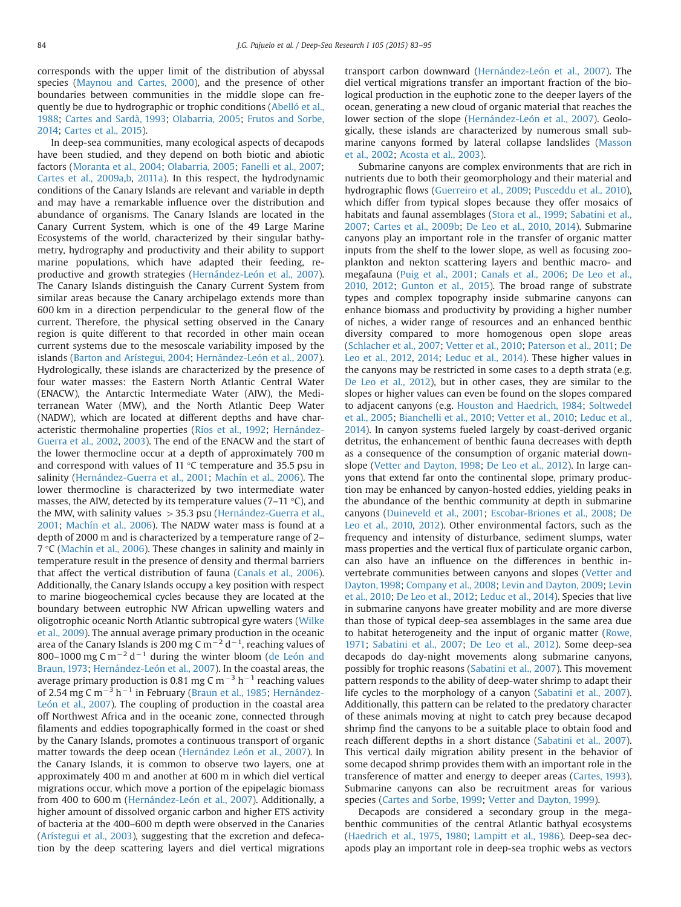corresponds with the upper limit of the distribution of abyssal species [\(Maynou and Cartes, 2000\)](#page--1-0), and the presence of other boundaries between communities in the middle slope can frequently be due to hydrographic or trophic conditions ([Abelló et al.,](#page--1-0) [1988](#page--1-0); [Cartes and Sardà, 1993](#page--1-0); [Olabarria, 2005](#page--1-0); [Frutos and Sorbe,](#page--1-0) [2014;](#page--1-0) [Cartes et al., 2015](#page--1-0)).

In deep-sea communities, many ecological aspects of decapods have been studied, and they depend on both biotic and abiotic factors ([Moranta et al., 2004](#page--1-0); [Olabarria, 2005;](#page--1-0) [Fanelli et al., 2007;](#page--1-0) [Cartes et al., 2009a,b](#page--1-0), [2011a\)](#page--1-0). In this respect, the hydrodynamic conditions of the Canary Islands are relevant and variable in depth and may have a remarkable influence over the distribution and abundance of organisms. The Canary Islands are located in the Canary Current System, which is one of the 49 Large Marine Ecosystems of the world, characterized by their singular bathymetry, hydrography and productivity and their ability to support marine populations, which have adapted their feeding, reproductive and growth strategies [\(Hernández-León et al., 2007\)](#page--1-0). The Canary Islands distinguish the Canary Current System from similar areas because the Canary archipelago extends more than 600 km in a direction perpendicular to the general flow of the current. Therefore, the physical setting observed in the Canary region is quite different to that recorded in other main ocean current systems due to the mesoscale variability imposed by the islands [\(Barton and Arístegui, 2004](#page--1-0); [Hernández-León et al., 2007\)](#page--1-0). Hydrologically, these islands are characterized by the presence of four water masses: the Eastern North Atlantic Central Water (ENACW), the Antarctic Intermediate Water (AIW), the Mediterranean Water (MW), and the North Atlantic Deep Water (NADW), which are located at different depths and have characteristic thermohaline properties ([Ríos et al., 1992;](#page--1-0) [Hernández-](#page--1-0)[Guerra et al., 2002,](#page--1-0) [2003](#page--1-0)). The end of the ENACW and the start of the lower thermocline occur at a depth of approximately 700 m and correspond with values of 11 °C temperature and 35.5 psu in salinity [\(Hernández-Guerra et al., 2001](#page--1-0); [Machín et al., 2006](#page--1-0)). The lower thermocline is characterized by two intermediate water masses, the AIW, detected by its temperature values (7–11 °C), and the MW, with salinity values  $>$  35.3 psu ([Hernández-Guerra et al.,](#page--1-0) [2001;](#page--1-0) [Machín et al., 2006\)](#page--1-0). The NADW water mass is found at a depth of 2000 m and is characterized by a temperature range of 2– 7 °C [\(Machín et al., 2006](#page--1-0)). These changes in salinity and mainly in temperature result in the presence of density and thermal barriers that affect the vertical distribution of fauna ([Canals et al., 2006\)](#page--1-0). Additionally, the Canary Islands occupy a key position with respect to marine biogeochemical cycles because they are located at the boundary between eutrophic NW African upwelling waters and oligotrophic oceanic North Atlantic subtropical gyre waters [\(Wilke](#page--1-0) [et al., 2009\)](#page--1-0). The annual average primary production in the oceanic area of the Canary Islands is 200 mg C m $^{-2}$  d $^{-1}$ , reaching values of 800–1000 mg C m<sup>-2</sup> d<sup>-1</sup> during the winter bloom [\(de León and](#page--1-0) [Braun, 1973;](#page--1-0) [Hernández-León et al., 2007](#page--1-0)). In the coastal areas, the average primary production is 0.81 mg C m<sup>-3</sup> h<sup>-1</sup> reaching values of 2.54 mg C m<sup>-3</sup> h<sup>-1</sup> in February ([Braun et al., 1985;](#page--1-0) [Hernández-](#page--1-0)[León et al., 2007\)](#page--1-0). The coupling of production in the coastal area off Northwest Africa and in the oceanic zone, connected through filaments and eddies topographically formed in the coast or shed by the Canary Islands, promotes a continuous transport of organic matter towards the deep ocean ([Hernández León et al., 2007](#page--1-0)). In the Canary Islands, it is common to observe two layers, one at approximately 400 m and another at 600 m in which diel vertical migrations occur, which move a portion of the epipelagic biomass from 400 to 600 m [\(Hernández-León et al., 2007\)](#page--1-0). Additionally, a higher amount of dissolved organic carbon and higher ETS activity of bacteria at the 400–600 m depth were observed in the Canaries ([Arístegui et al., 2003\)](#page--1-0), suggesting that the excretion and defecation by the deep scattering layers and diel vertical migrations transport carbon downward [\(Hernández-León et al., 2007\)](#page--1-0). The diel vertical migrations transfer an important fraction of the biological production in the euphotic zone to the deeper layers of the ocean, generating a new cloud of organic material that reaches the lower section of the slope ([Hernández-León et al., 2007](#page--1-0)). Geologically, these islands are characterized by numerous small submarine canyons formed by lateral collapse landslides ([Masson](#page--1-0) [et al., 2002](#page--1-0); [Acosta et al., 2003](#page--1-0)).

Submarine canyons are complex environments that are rich in nutrients due to both their geomorphology and their material and hydrographic flows ([Guerreiro et al., 2009](#page--1-0); [Pusceddu et al., 2010\)](#page--1-0), which differ from typical slopes because they offer mosaics of habitats and faunal assemblages ([Stora et al., 1999;](#page--1-0) [Sabatini et al.,](#page--1-0) [2007;](#page--1-0) [Cartes et al., 2009b;](#page--1-0) [De Leo et al., 2010](#page--1-0), [2014\)](#page--1-0). Submarine canyons play an important role in the transfer of organic matter inputs from the shelf to the lower slope, as well as focusing zooplankton and nekton scattering layers and benthic macro- and megafauna [\(Puig et al., 2001;](#page--1-0) [Canals et al., 2006;](#page--1-0) [De Leo et al.,](#page--1-0) [2010,](#page--1-0) [2012](#page--1-0); [Gunton et al., 2015](#page--1-0)). The broad range of substrate types and complex topography inside submarine canyons can enhance biomass and productivity by providing a higher number of niches, a wider range of resources and an enhanced benthic diversity compared to more homogenous open slope areas ([Schlacher et al., 2007](#page--1-0); [Vetter et al., 2010;](#page--1-0) [Paterson et al., 2011](#page--1-0); [De](#page--1-0) [Leo et al., 2012](#page--1-0), [2014;](#page--1-0) [Leduc et al., 2014](#page--1-0)). These higher values in the canyons may be restricted in some cases to a depth strata (e.g. [De Leo et al., 2012\)](#page--1-0), but in other cases, they are similar to the slopes or higher values can even be found on the slopes compared to adjacent canyons (e.g. [Houston and Haedrich, 1984](#page--1-0); [Soltwedel](#page--1-0) [et al., 2005;](#page--1-0) [Bianchelli et al., 2010;](#page--1-0) [Vetter et al., 2010](#page--1-0); [Leduc et al.,](#page--1-0) [2014\)](#page--1-0). In canyon systems fueled largely by coast-derived organic detritus, the enhancement of benthic fauna decreases with depth as a consequence of the consumption of organic material downslope [\(Vetter and Dayton, 1998](#page--1-0); [De Leo et al., 2012\)](#page--1-0). In large canyons that extend far onto the continental slope, primary production may be enhanced by canyon-hosted eddies, yielding peaks in the abundance of the benthic community at depth in submarine canyons [\(Duineveld et al., 2001](#page--1-0); [Escobar-Briones et al., 2008;](#page--1-0) [De](#page--1-0) [Leo et al., 2010](#page--1-0), [2012\)](#page--1-0). Other environmental factors, such as the frequency and intensity of disturbance, sediment slumps, water mass properties and the vertical flux of particulate organic carbon, can also have an influence on the differences in benthic invertebrate communities between canyons and slopes [\(Vetter and](#page--1-0) [Dayton, 1998;](#page--1-0) [Company et al., 2008;](#page--1-0) [Levin and Dayton, 2009;](#page--1-0) [Levin](#page--1-0) [et al., 2010](#page--1-0); [De Leo et al., 2012](#page--1-0); [Leduc et al., 2014\)](#page--1-0). Species that live in submarine canyons have greater mobility and are more diverse than those of typical deep-sea assemblages in the same area due to habitat heterogeneity and the input of organic matter [\(Rowe,](#page--1-0) [1971;](#page--1-0) [Sabatini et al., 2007;](#page--1-0) [De Leo et al., 2012\)](#page--1-0). Some deep-sea decapods do day-night movements along submarine canyons, possibly for trophic reasons ([Sabatini et al., 2007\)](#page--1-0). This movement pattern responds to the ability of deep-water shrimp to adapt their life cycles to the morphology of a canyon [\(Sabatini et al., 2007\)](#page--1-0). Additionally, this pattern can be related to the predatory character of these animals moving at night to catch prey because decapod shrimp find the canyons to be a suitable place to obtain food and reach different depths in a short distance [\(Sabatini et al., 2007\)](#page--1-0). This vertical daily migration ability present in the behavior of some decapod shrimp provides them with an important role in the transference of matter and energy to deeper areas ([Cartes, 1993\)](#page--1-0). Submarine canyons can also be recruitment areas for various species ([Cartes and Sorbe, 1999;](#page--1-0) [Vetter and Dayton, 1999](#page--1-0)).

Decapods are considered a secondary group in the megabenthic communities of the central Atlantic bathyal ecosystems ([Haedrich et al., 1975,](#page--1-0) [1980](#page--1-0); [Lampitt et al., 1986\)](#page--1-0). Deep-sea decapods play an important role in deep-sea trophic webs as vectors